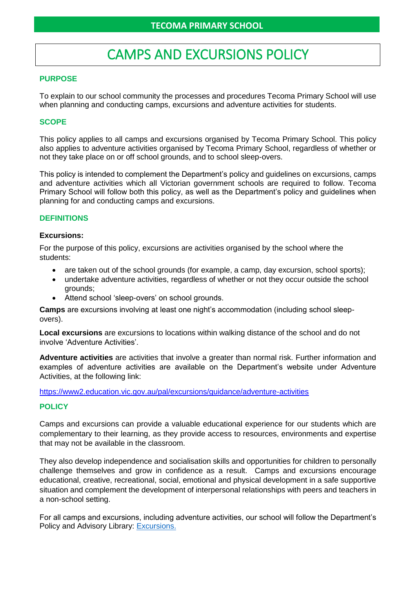# CAMPS AND EXCURSIONS POLICY

# **PURPOSE**

To explain to our school community the processes and procedures Tecoma Primary School will use when planning and conducting camps, excursions and adventure activities for students.

# **SCOPE**

This policy applies to all camps and excursions organised by Tecoma Primary School. This policy also applies to adventure activities organised by Tecoma Primary School, regardless of whether or not they take place on or off school grounds, and to school sleep-overs.

This policy is intended to complement the Department's policy and guidelines on excursions, camps and adventure activities which all Victorian government schools are required to follow. Tecoma Primary School will follow both this policy, as well as the Department's policy and guidelines when planning for and conducting camps and excursions.

# **DEFINITIONS**

#### **Excursions:**

For the purpose of this policy, excursions are activities organised by the school where the students:

- are taken out of the school grounds (for example, a camp, day excursion, school sports);
- undertake adventure activities, regardless of whether or not they occur outside the school grounds;
- Attend school 'sleep-overs' on school grounds.

**Camps** are excursions involving at least one night's accommodation (including school sleepovers).

**Local excursions** are excursions to locations within walking distance of the school and do not involve 'Adventure Activities'.

**Adventure activities** are activities that involve a greater than normal risk. Further information and examples of adventure activities are available on the Department's website under Adventure Activities, at the following link:

#### <https://www2.education.vic.gov.au/pal/excursions/guidance/adventure-activities>

# **POLICY**

Camps and excursions can provide a valuable educational experience for our students which are complementary to their learning, as they provide access to resources, environments and expertise that may not be available in the classroom.

They also develop independence and socialisation skills and opportunities for children to personally challenge themselves and grow in confidence as a result. Camps and excursions encourage educational, creative, recreational, social, emotional and physical development in a safe supportive situation and complement the development of interpersonal relationships with peers and teachers in a non-school setting.

For all camps and excursions, including adventure activities, our school will follow the Department's Policy and Advisory Library: [Excursions.](https://www2.education.vic.gov.au/pal/excursions/policy)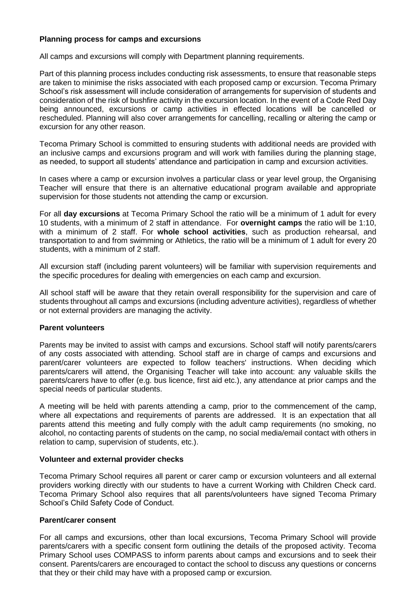# **Planning process for camps and excursions**

All camps and excursions will comply with Department planning requirements.

Part of this planning process includes conducting risk assessments, to ensure that reasonable steps are taken to minimise the risks associated with each proposed camp or excursion. Tecoma Primary School's risk assessment will include consideration of arrangements for supervision of students and consideration of the risk of bushfire activity in the excursion location. In the event of a Code Red Day being announced, excursions or camp activities in effected locations will be cancelled or rescheduled. Planning will also cover arrangements for cancelling, recalling or altering the camp or excursion for any other reason.

Tecoma Primary School is committed to ensuring students with additional needs are provided with an inclusive camps and excursions program and will work with families during the planning stage, as needed, to support all students' attendance and participation in camp and excursion activities.

In cases where a camp or excursion involves a particular class or year level group, the Organising Teacher will ensure that there is an alternative educational program available and appropriate supervision for those students not attending the camp or excursion.

For all **day excursions** at Tecoma Primary School the ratio will be a minimum of 1 adult for every 10 students, with a minimum of 2 staff in attendance. For **overnight camps** the ratio will be 1:10, with a minimum of 2 staff. For **whole school activities**, such as production rehearsal, and transportation to and from swimming or Athletics, the ratio will be a minimum of 1 adult for every 20 students, with a minimum of 2 staff.

All excursion staff (including parent volunteers) will be familiar with supervision requirements and the specific procedures for dealing with emergencies on each camp and excursion.

All school staff will be aware that they retain overall responsibility for the supervision and care of students throughout all camps and excursions (including adventure activities), regardless of whether or not external providers are managing the activity.

# **Parent volunteers**

Parents may be invited to assist with camps and excursions. School staff will notify parents/carers of any costs associated with attending. School staff are in charge of camps and excursions and parent/carer volunteers are expected to follow teachers' instructions. When deciding which parents/carers will attend, the Organising Teacher will take into account: any valuable skills the parents/carers have to offer (e.g. bus licence, first aid etc.), any attendance at prior camps and the special needs of particular students.

A meeting will be held with parents attending a camp, prior to the commencement of the camp, where all expectations and requirements of parents are addressed. It is an expectation that all parents attend this meeting and fully comply with the adult camp requirements (no smoking, no alcohol, no contacting parents of students on the camp, no social media/email contact with others in relation to camp, supervision of students, etc.).

# **Volunteer and external provider checks**

Tecoma Primary School requires all parent or carer camp or excursion volunteers and all external providers working directly with our students to have a current Working with Children Check card. Tecoma Primary School also requires that all parents/volunteers have signed Tecoma Primary School's Child Safety Code of Conduct.

# **Parent/carer consent**

For all camps and excursions, other than local excursions, Tecoma Primary School will provide parents/carers with a specific consent form outlining the details of the proposed activity. Tecoma Primary School uses COMPASS to inform parents about camps and excursions and to seek their consent. Parents/carers are encouraged to contact the school to discuss any questions or concerns that they or their child may have with a proposed camp or excursion.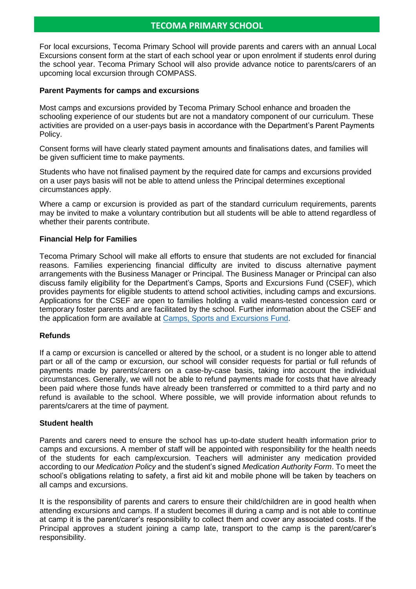For local excursions, Tecoma Primary School will provide parents and carers with an annual Local Excursions consent form at the start of each school year or upon enrolment if students enrol during the school year. Tecoma Primary School will also provide advance notice to parents/carers of an upcoming local excursion through COMPASS.

#### **Parent Payments for camps and excursions**

Most camps and excursions provided by Tecoma Primary School enhance and broaden the schooling experience of our students but are not a mandatory component of our curriculum. These activities are provided on a user-pays basis in accordance with the Department's Parent Payments Policy.

Consent forms will have clearly stated payment amounts and finalisations dates, and families will be given sufficient time to make payments.

Students who have not finalised payment by the required date for camps and excursions provided on a user pays basis will not be able to attend unless the Principal determines exceptional circumstances apply.

Where a camp or excursion is provided as part of the standard curriculum requirements, parents may be invited to make a voluntary contribution but all students will be able to attend regardless of whether their parents contribute.

#### **Financial Help for Families**

Tecoma Primary School will make all efforts to ensure that students are not excluded for financial reasons. Families experiencing financial difficulty are invited to discuss alternative payment arrangements with the Business Manager or Principal. The Business Manager or Principal can also discuss family eligibility for the Department's Camps, Sports and Excursions Fund (CSEF), which provides payments for eligible students to attend school activities, including camps and excursions. Applications for the CSEF are open to families holding a valid means-tested concession card or temporary foster parents and are facilitated by the school. Further information about the CSEF and the application form are available at [Camps, Sports and Excursions Fund.](https://www2.education.vic.gov.au/pal/camps-sports-and-excursions-fund/policy)

#### **Refunds**

If a camp or excursion is cancelled or altered by the school, or a student is no longer able to attend part or all of the camp or excursion, our school will consider requests for partial or full refunds of payments made by parents/carers on a case-by-case basis, taking into account the individual circumstances. Generally, we will not be able to refund payments made for costs that have already been paid where those funds have already been transferred or committed to a third party and no refund is available to the school. Where possible, we will provide information about refunds to parents/carers at the time of payment.

#### **Student health**

Parents and carers need to ensure the school has up-to-date student health information prior to camps and excursions. A member of staff will be appointed with responsibility for the health needs of the students for each camp/excursion. Teachers will administer any medication provided according to our *Medication Policy* and the student's signed *Medication Authority Form*. To meet the school's obligations relating to safety, a first aid kit and mobile phone will be taken by teachers on all camps and excursions.

It is the responsibility of parents and carers to ensure their child/children are in good health when attending excursions and camps. If a student becomes ill during a camp and is not able to continue at camp it is the parent/carer's responsibility to collect them and cover any associated costs. If the Principal approves a student joining a camp late, transport to the camp is the parent/carer's responsibility.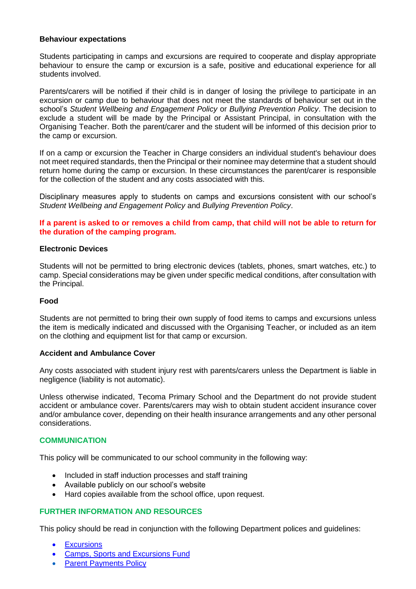## **Behaviour expectations**

Students participating in camps and excursions are required to cooperate and display appropriate behaviour to ensure the camp or excursion is a safe, positive and educational experience for all students involved.

Parents/carers will be notified if their child is in danger of losing the privilege to participate in an excursion or camp due to behaviour that does not meet the standards of behaviour set out in the school's *Student Wellbeing and Engagement Policy* or *Bullying Prevention Policy*. The decision to exclude a student will be made by the Principal or Assistant Principal, in consultation with the Organising Teacher. Both the parent/carer and the student will be informed of this decision prior to the camp or excursion.

If on a camp or excursion the Teacher in Charge considers an individual student's behaviour does not meet required standards, then the Principal or their nominee may determine that a student should return home during the camp or excursion. In these circumstances the parent/carer is responsible for the collection of the student and any costs associated with this.

Disciplinary measures apply to students on camps and excursions consistent with our school's *Student Wellbeing and Engagement Policy* and *Bullying Prevention Policy*.

## **If a parent is asked to or removes a child from camp, that child will not be able to return for the duration of the camping program.**

#### **Electronic Devices**

Students will not be permitted to bring electronic devices (tablets, phones, smart watches, etc.) to camp. Special considerations may be given under specific medical conditions, after consultation with the Principal.

#### **Food**

Students are not permitted to bring their own supply of food items to camps and excursions unless the item is medically indicated and discussed with the Organising Teacher, or included as an item on the clothing and equipment list for that camp or excursion.

#### **Accident and Ambulance Cover**

Any costs associated with student injury rest with parents/carers unless the Department is liable in negligence (liability is not automatic).

Unless otherwise indicated, Tecoma Primary School and the Department do not provide student accident or ambulance cover. Parents/carers may wish to obtain student accident insurance cover and/or ambulance cover, depending on their health insurance arrangements and any other personal considerations.

#### **COMMUNICATION**

This policy will be communicated to our school community in the following way:

- Included in staff induction processes and staff training
- Available publicly on our school's website
- Hard copies available from the school office, upon request.

# **FURTHER INFORMATION AND RESOURCES**

This policy should be read in conjunction with the following Department polices and guidelines:

- **[Excursions](https://www2.education.vic.gov.au/pal/excursions/policy)**
- [Camps, Sports and Excursions Fund](https://www2.education.vic.gov.au/pal/camps-sports-and-excursions-fund/policy)
- **[Parent Payments Policy](https://www2.education.vic.gov.au/pal/parent-payment/policy)**